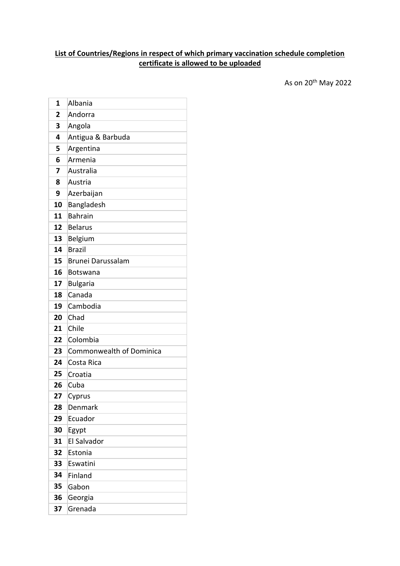## **List of Countries/Regions in respect of which primary vaccination schedule completion certificate is allowed to be uploaded**

As on 20th May 2022

| 1  | Albania                  |
|----|--------------------------|
| 2  | Andorra                  |
| 3  | Angola                   |
| 4  | Antigua & Barbuda        |
| 5  | Argentina                |
| 6  | Armenia                  |
| 7  | Australia                |
| 8  | Austria                  |
| 9  | Azerbaijan               |
| 10 | Bangladesh               |
| 11 | <b>Bahrain</b>           |
| 12 | <b>Belarus</b>           |
| 13 | Belgium                  |
| 14 | <b>Brazil</b>            |
| 15 | Brunei Darussalam        |
| 16 | <b>Botswana</b>          |
| 17 | <b>Bulgaria</b>          |
| 18 | Canada                   |
| 19 | Cambodia                 |
| 20 | Chad                     |
| 21 | Chile                    |
| 22 | Colombia                 |
| 23 | Commonwealth of Dominica |
| 24 | Costa Rica               |
| 25 | Croatia                  |
| 26 | Cuba                     |
| 27 | Cyprus                   |
| 28 | Denmark                  |
| 29 | Ecuador                  |
| 30 | Egypt                    |
| 31 | <b>El Salvador</b>       |
| 32 | Estonia                  |
| 33 | Eswatini                 |
| 34 | Finland                  |
| 35 | Gabon                    |
| 36 | Georgia                  |
| 37 | Grenada                  |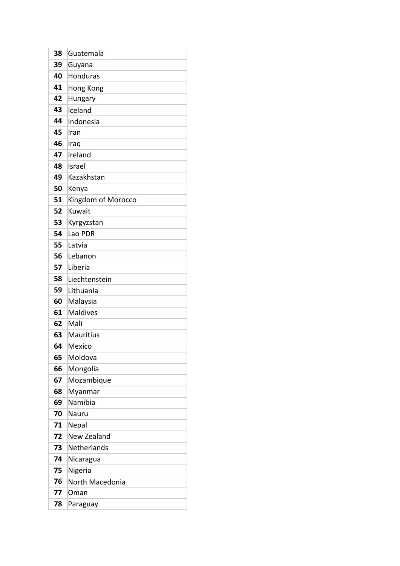| 38 | Guatemala          |
|----|--------------------|
| 39 | Guyana             |
| 40 | Honduras           |
| 41 | Hong Kong          |
| 42 | Hungary            |
| 43 | Iceland            |
| 44 | Indonesia          |
| 45 | Iran               |
| 46 | Iraq               |
| 47 | Ireland            |
| 48 | Israel             |
| 49 | Kazakhstan         |
| 50 | Kenya              |
| 51 | Kingdom of Morocco |
| 52 | Kuwait             |
| 53 | Kyrgyzstan         |
| 54 | Lao PDR            |
| 55 | Latvia             |
| 56 | Lebanon            |
| 57 | Liberia            |
| 58 | Liechtenstein      |
| 59 | Lithuania          |
| 60 | Malaysia           |
| 61 | <b>Maldives</b>    |
| 62 | Mali               |
| 63 | <b>Mauritius</b>   |
| 64 | Mexico             |
| 65 | Moldova            |
| 66 | Mongolia           |
| 67 | Mozambique         |
| 68 | Myanmar            |
| 69 | Namibia            |
| 70 | Nauru              |
| 71 | Nepal              |
| 72 | <b>New Zealand</b> |
| 73 | Netherlands        |
| 74 | Nicaragua          |
| 75 | Nigeria            |
| 76 | North Macedonia    |
| 77 | Oman               |
| 78 | Paraguay           |